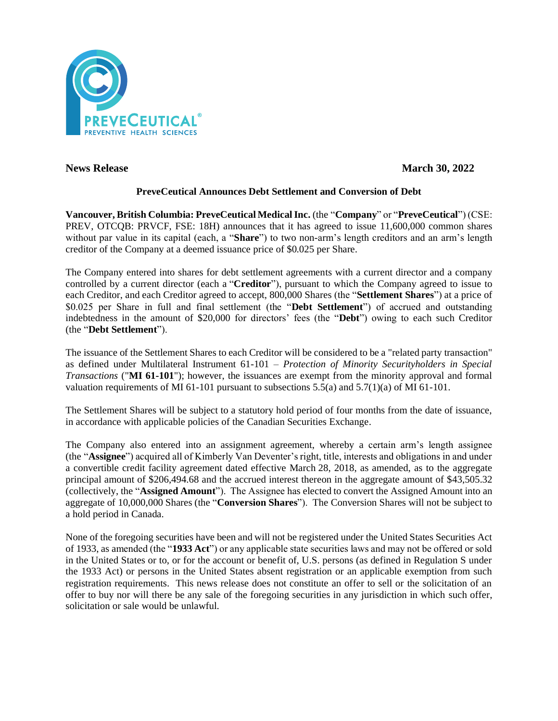

**News Release March 30, 2022** 

# **PreveCeutical Announces Debt Settlement and Conversion of Debt**

**Vancouver, British Columbia: PreveCeutical Medical Inc.** (the "**Company**" or "**PreveCeutical**") (CSE: PREV, OTCQB: PRVCF, FSE: 18H) announces that it has agreed to issue 11,600,000 common shares without par value in its capital (each, a "**Share**") to two non-arm's length creditors and an arm's length creditor of the Company at a deemed issuance price of \$0.025 per Share.

The Company entered into shares for debt settlement agreements with a current director and a company controlled by a current director (each a "**Creditor**"), pursuant to which the Company agreed to issue to each Creditor, and each Creditor agreed to accept, 800,000 Shares (the "**Settlement Shares**") at a price of \$0.025 per Share in full and final settlement (the "**Debt Settlement**") of accrued and outstanding indebtedness in the amount of \$20,000 for directors' fees (the "**Debt**") owing to each such Creditor (the "**Debt Settlement**").

The issuance of the Settlement Shares to each Creditor will be considered to be a "related party transaction" as defined under Multilateral Instrument 61-101 – *Protection of Minority Securityholders in Special Transactions* ("**MI 61-101**"); however, the issuances are exempt from the minority approval and formal valuation requirements of MI 61-101 pursuant to subsections  $5.5(a)$  and  $5.7(1)(a)$  of MI 61-101.

The Settlement Shares will be subject to a statutory hold period of four months from the date of issuance, in accordance with applicable policies of the Canadian Securities Exchange.

The Company also entered into an assignment agreement, whereby a certain arm's length assignee (the "**Assignee**") acquired all of Kimberly Van Deventer's right, title, interests and obligations in and under a convertible credit facility agreement dated effective March 28, 2018, as amended, as to the aggregate principal amount of \$206,494.68 and the accrued interest thereon in the aggregate amount of \$43,505.32 (collectively, the "**Assigned Amount**"). The Assignee has elected to convert the Assigned Amount into an aggregate of 10,000,000 Shares (the "**Conversion Shares**"). The Conversion Shares will not be subject to a hold period in Canada.

None of the foregoing securities have been and will not be registered under the United States Securities Act of 1933, as amended (the "**1933 Act**") or any applicable state securities laws and may not be offered or sold in the United States or to, or for the account or benefit of, U.S. persons (as defined in Regulation S under the 1933 Act) or persons in the United States absent registration or an applicable exemption from such registration requirements. This news release does not constitute an offer to sell or the solicitation of an offer to buy nor will there be any sale of the foregoing securities in any jurisdiction in which such offer, solicitation or sale would be unlawful.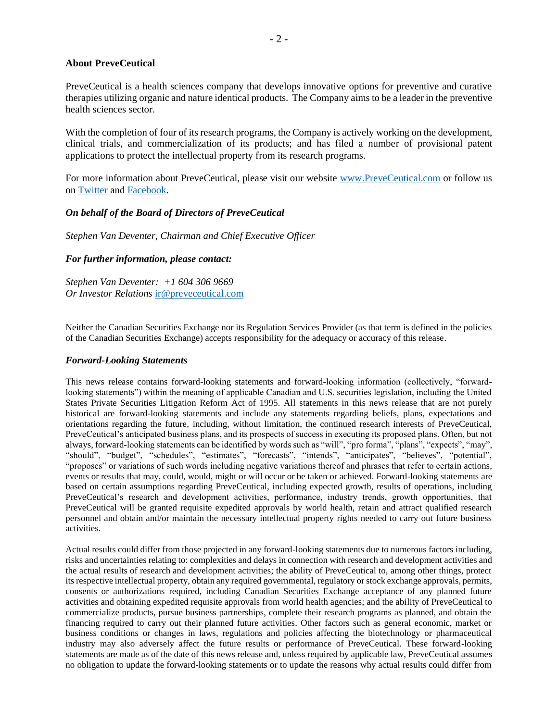## **About PreveCeutical**

PreveCeutical is a health sciences company that develops innovative options for preventive and curative therapies utilizing organic and nature identical products. The Company aims to be a leader in the preventive health sciences sector.

With the completion of four of its research programs, the Company is actively working on the development, clinical trials, and commercialization of its products; and has filed a number of provisional patent applications to protect the intellectual property from its research programs.

For more information about PreveCeutical, please visit our website [www.PreveCeutical.com](http://www.preveceutical.com/) or follow us on [Twitter](http://twitter.com/PreveCeuticals) an[d Facebook.](http://www.facebook.com/PreveCeutical)

## *On behalf of the Board of Directors of PreveCeutical*

*Stephen Van Deventer, Chairman and Chief Executive Officer*

## *For further information, please contact:*

*Stephen Van Deventer: +1 604 306 9669 Or Investor Relations* [ir@preveceutical.com](mailto:ir@preveceutical.com)

Neither the Canadian Securities Exchange nor its Regulation Services Provider (as that term is defined in the policies of the Canadian Securities Exchange) accepts responsibility for the adequacy or accuracy of this release.

### *Forward-Looking Statements*

This news release contains forward-looking statements and forward-looking information (collectively, "forwardlooking statements") within the meaning of applicable Canadian and U.S. securities legislation, including the United States Private Securities Litigation Reform Act of 1995. All statements in this news release that are not purely historical are forward-looking statements and include any statements regarding beliefs, plans, expectations and orientations regarding the future, including, without limitation, the continued research interests of PreveCeutical, PreveCeutical's anticipated business plans, and its prospects of success in executing its proposed plans. Often, but not always, forward-looking statements can be identified by words such as "will", "pro forma", "plans", "expects", "may", "should", "budget", "schedules", "estimates", "forecasts", "intends", "anticipates", "believes", "potential", "proposes" or variations of such words including negative variations thereof and phrases that refer to certain actions, events or results that may, could, would, might or will occur or be taken or achieved. Forward-looking statements are based on certain assumptions regarding PreveCeutical, including expected growth, results of operations, including PreveCeutical's research and development activities, performance, industry trends, growth opportunities, that PreveCeutical will be granted requisite expedited approvals by world health, retain and attract qualified research personnel and obtain and/or maintain the necessary intellectual property rights needed to carry out future business activities.

Actual results could differ from those projected in any forward-looking statements due to numerous factors including, risks and uncertainties relating to: complexities and delays in connection with research and development activities and the actual results of research and development activities; the ability of PreveCeutical to, among other things, protect its respective intellectual property, obtain any required governmental, regulatory or stock exchange approvals, permits, consents or authorizations required, including Canadian Securities Exchange acceptance of any planned future activities and obtaining expedited requisite approvals from world health agencies; and the ability of PreveCeutical to commercialize products, pursue business partnerships, complete their research programs as planned, and obtain the financing required to carry out their planned future activities. Other factors such as general economic, market or business conditions or changes in laws, regulations and policies affecting the biotechnology or pharmaceutical industry may also adversely affect the future results or performance of PreveCeutical. These forward-looking statements are made as of the date of this news release and, unless required by applicable law, PreveCeutical assumes no obligation to update the forward-looking statements or to update the reasons why actual results could differ from